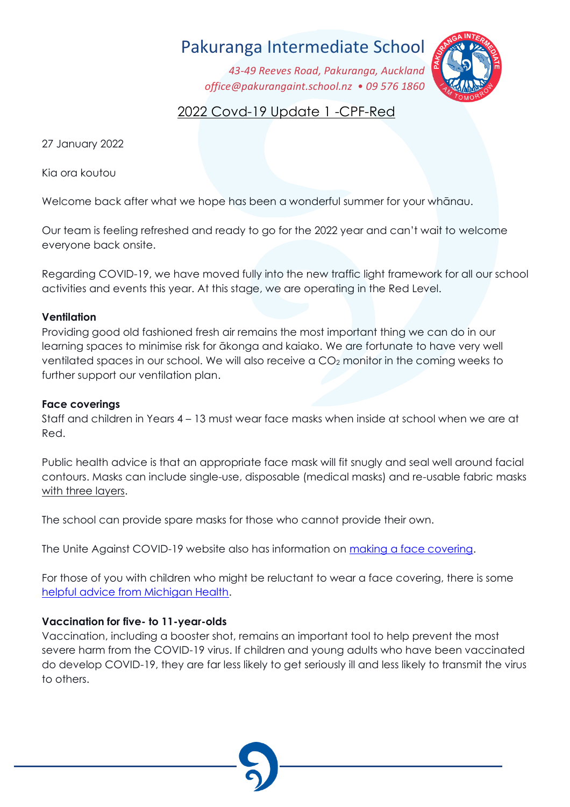# Pakuranga Intermediate School

*43-49 Reeves Road, Pakuranga, Auckland office@pakurangaint.school.nz • 09 576 1860*



# 2022 Covd-19 Update 1 -CPF-Red

27 January 2022

Kia ora koutou

Welcome back after what we hope has been a wonderful summer for your whānau.

Our team is feeling refreshed and ready to go for the 2022 year and can't wait to welcome everyone back onsite.

Regarding COVID-19, we have moved fully into the new traffic light framework for all our school activities and events this year. At this stage, we are operating in the Red Level.

#### **Ventilation**

Providing good old fashioned fresh air remains the most important thing we can do in our learning spaces to minimise risk for ākonga and kaiako. We are fortunate to have very well ventilated spaces in our school. We will also receive a  $CO<sub>2</sub>$  monitor in the coming weeks to further support our ventilation plan.

#### **Face coverings**

Staff and children in Years 4 – 13 must wear face masks when inside at school when we are at Red.

Public health advice is that an appropriate face mask will fit snugly and seal well around facial contours. Masks can include single-use, disposable (medical masks) and re-usable fabric masks with three layers.

The school can provide spare masks for those who cannot provide their own.

The Unite Against COVID-19 website also has information on making [a face covering.](https://covid19.govt.nz/prepare-and-stay-safe/keep-up-healthy-habits/wear-a-face-covering/how-to-make-a-face-covering/)

For those of you with children who might be reluctant to wear a face covering, there is some [helpful advice from Michigan Health.](https://healthblog.uofmhealth.org/childrens-health/5-ways-to-get-young-kids-to-wear-face-masks?amp)

## **Vaccination for five- to 11-year-olds**

Vaccination, including a booster shot, remains an important tool to help prevent the most severe harm from the COVID-19 virus. If children and young adults who have been vaccinated do develop COVID-19, they are far less likely to get seriously ill and less likely to transmit the virus to others.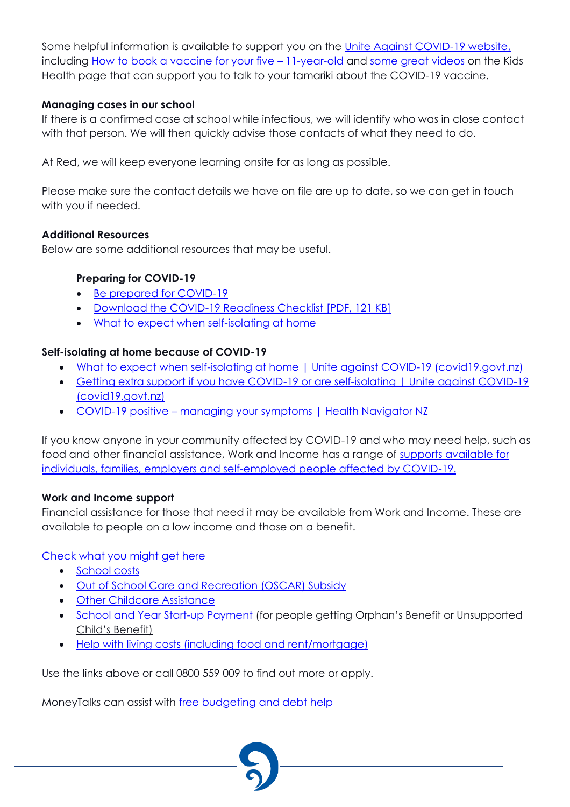Some helpful information is available to support you on the [Unite Against COVID-19 website,](https://covid19.govt.nz/covid-19-vaccines/get-the-facts-about-covid-19-vaccination/covid-19-vaccination-and-children/) including [How to book a vaccine for your five](https://covid19.govt.nz/covid-19-vaccines/get-the-facts-about-covid-19-vaccination/covid-19-vaccination-and-children/#book) – 11-year-old and [some great videos](https://www.kidshealth.org.nz/covid-19-immunisation-5-11-year-olds) on the Kids Health page that can support you to talk to your tamariki about the COVID-19 vaccine.

#### **Managing cases in our school**

If there is a confirmed case at school while infectious, we will identify who was in close contact with that person. We will then quickly advise those contacts of what they need to do.

At Red, we will keep everyone learning onsite for as long as possible.

Please make sure the contact details we have on file are up to date, so we can get in touch with you if needed.

#### **Additional Resources**

Below are some additional resources that may be useful.

#### **Preparing for COVID-19**

- [Be prepared for COVID-19](https://covid19.govt.nz/prepare-and-stay-safe/be-prepared-for-covid-19/)
- [Download the COVID-19 Readiness Checklist](https://covid19.govt.nz/assets/resources/posters/COVID-19-Readiness-Checklist.pdf) [PDF, 121 KB]
- [What to expect when self-isolating at home](https://covid19.govt.nz/isolation-and-care/what-to-expect-when-self-isolating-at-home/)

### **Self-isolating at home because of COVID-19**

- [What to expect when self-isolating at home | Unite against COVID-19 \(covid19.govt.nz\)](https://covid19.govt.nz/isolation-and-care/what-to-expect-when-self-isolating-at-home/)
- Getting extra support if you have COVID-19 or are self-isolating | Unite against COVID-19 [\(covid19.govt.nz\)](https://covid19.govt.nz/isolation-and-care/getting-extra-support-if-you-have-covid-19-or-are-self-isolating/)
- COVID-19 positive [managing your symptoms | Health Navigator NZ](https://www.healthnavigator.org.nz/health-a-z/c/covid-19-positive-managing-your-symptoms/)

If you know anyone in your community affected by COVID-19 and who may need help, such as food and other financial assistance, Work and Income has a range of [supports available for](https://workandincome.govt.nz/covid-19/)  [individuals, families, employers and self-employed people affected by COVID-19.](https://workandincome.govt.nz/covid-19/)

#### **Work and Income support**

Financial assistance for those that need it may be available from Work and Income. These are available to people on a low income and those on a benefit.

#### [Check what you might get here](https://check.msd.govt.nz/)

- [School costs](https://www.workandincome.govt.nz/eligibility/children/school-costs.html)
- [Out of School Care and Recreation \(OSCAR\) Subsidy](https://www.workandincome.govt.nz/products/a-z-benefits/oscar-subsidy.html)
- [Other Childcare Assistance](https://www.workandincome.govt.nz/providers/childcare-assistance/index.html)
- [School and Year Start-up Payment](https://www.workandincome.govt.nz/products/a-z-benefits/school-and-year-start-up-payment.html) (for people getting Orphan's Benefit or Unsupported Child's Benefit)
- [Help with living costs \(including food and rent/mortgage\)](https://www.workandincome.govt.nz/eligibility/living-expenses/index.html)

Use the links above or call 0800 559 009 to find out more or apply.

MoneyTalks can assist with [free budgeting and debt help](https://www.moneytalks.co.nz/)